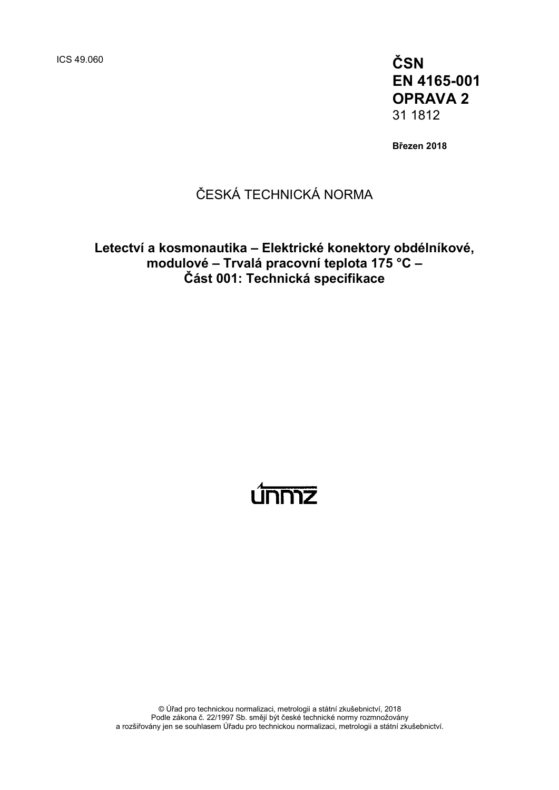ICS 49.060 **ČSN EN 4165-001 OPRAVA 2** 31 1812

**Březen 2018**

# ČESKÁ TECHNICKÁ NORMA

### **Letectví a kosmonautika – Elektrické konektory obdélníkové, modulové – Trvalá pracovní teplota 175 °C – Část 001: Technická specifikace**

# <u>únniz</u>

© Úřad pro technickou normalizaci, metrologii a státní zkušebnictví, 2018 Podle zákona č. 22/1997 Sb. smějí být české technické normy rozmnožovány a rozšiřovány jen se souhlasem Úřadu pro technickou normalizaci, metrologii a státní zkušebnictví.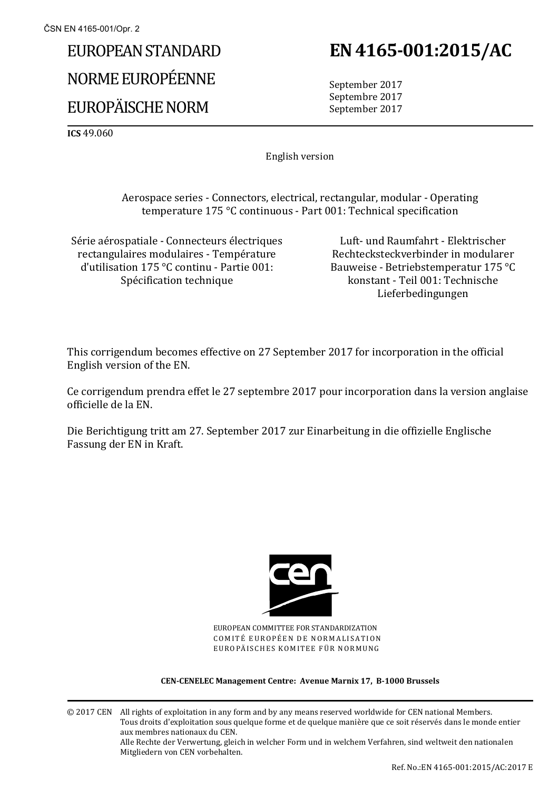# EUROPEAN STANDARD NORME EUROPÉENNE EUROPÄISCHE NORM

# **EN 4165-001:2015/AC**

September 2017 Septembre 2017 September 2017

**ICS** 49.060

English version

Aerospace series - Connectors, electrical, rectangular, modular - Operating temperature 175 °C continuous - Part 001: Technical specification

Série aérospatiale - Connecteurs électriques rectangulaires modulaires - Température d'utilisation 175 °C continu - Partie 001: Spécification technique

Luft- und Raumfahrt - Elektrischer Rechtecksteckverbinder in modularer Bauweise - Betriebstemperatur 175 °C konstant - Teil 001: Technische Lieferbedingungen

This corrigendum becomes effective on 27 September 2017 for incorporation in the official English version of the EN.

Ce corrigendum prendra effet le 27 septembre 2017 pour incorporation dans la version anglaise officielle de la EN.

Die Berichtigung tritt am 27. September 2017 zur Einarbeitung in die offizielle Englische Fassung der EN in Kraft.



EUROPEAN COMMITTEE FOR STANDARDIZATION COMITÉ EUROPÉEN DE NORMALISATION EUROPÄISCHES KOMITEE FÜR NORMUNG

#### **CEN-CENELEC Management Centre: Avenue Marnix 17, B-1000 Brussels**

© 2017 CEN All rights of exploitation in any form and by any means reserved worldwide for CEN national Members. Tous droits d'exploitation sous quelque forme et de quelque manière que ce soit réservés dans le monde entier aux membres nationaux du CEN. Alle Rechte der Verwertung, gleich in welcher Form und in welchem Verfahren, sind weltweit den nationalen Mitgliedern von CEN vorbehalten.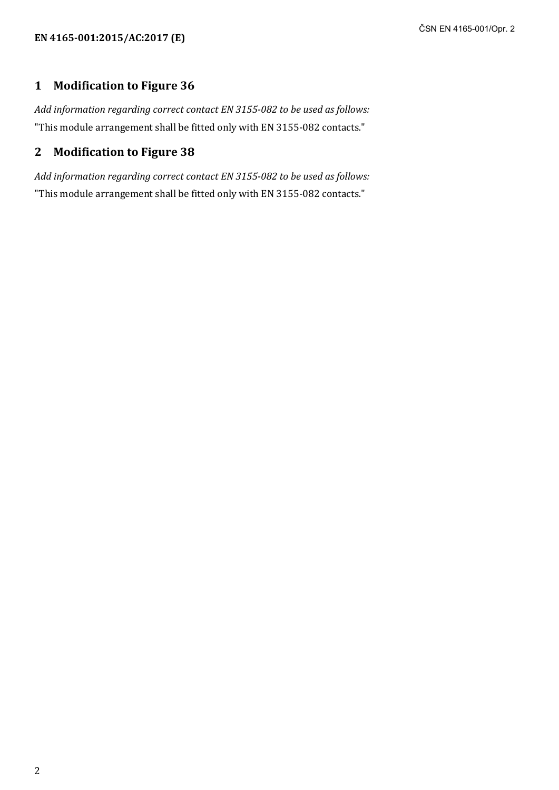#### **1 Modification to Figure 36**

*Add information regarding correct contact EN 3155-082 to be used as follows:* "This module arrangement shall be fitted only with EN 3155-082 contacts."

# **2 Modification to Figure 38**

*Add information regarding correct contact EN 3155-082 to be used as follows:* "This module arrangement shall be fitted only with EN 3155-082 contacts."